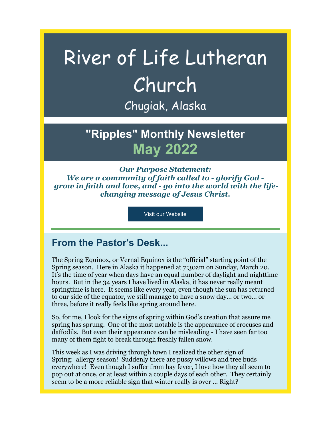# River of Life Lutheran Church Chugiak, Alaska

**"Ripples" Monthly Newsletter May 2022**

*Our Purpose Statement: We are a community of faith called to - glorify God grow in faith and love, and - go into the world with the lifechanging message of Jesus Christ.*

Visit our Website

## **From the Pastor's Desk...**

The Spring Equinox, or Vernal Equinox is the "official" starting point of the Spring season. Here in Alaska it happened at 7:30am on Sunday, March 20. It's the time of year when days have an equal number of daylight and nighttime hours. But in the 34 years I have lived in Alaska, it has never really meant springtime is here. It seems like every year, even though the sun has returned to our side of the equator, we still manage to have a snow day... or two... or three, before it really feels like spring around here.

So, for me, I look for the signs of spring within God's creation that assure me spring has sprung. One of the most notable is the appearance of crocuses and daffodils. But even their appearance can be misleading - I have seen far too many of them fight to break through freshly fallen snow.

This week as I was driving through town I realized the other sign of Spring: allergy season! Suddenly there are pussy willows and tree buds everywhere! Even though I suffer from hay fever, I love how they all seem to pop out at once, or at least within a couple days of each other. They certainly seem to be a more reliable sign that winter really is over ... Right?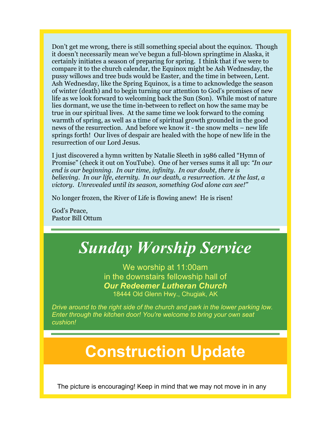Don't get me wrong, there is still something special about the equinox. Though it doesn't necessarily mean we've begun a full-blown springtime in Alaska, it certainly initiates a season of preparing for spring. I think that if we were to compare it to the church calendar, the Equinox might be Ash Wednesday, the pussy willows and tree buds would be Easter, and the time in between, Lent. Ash Wednesday, like the Spring Equinox, is a time to acknowledge the season of winter (death) and to begin turning our attention to God's promises of new life as we look forward to welcoming back the Sun (Son). While most of nature lies dormant, we use the time in-between to reflect on how the same may be true in our spiritual lives. At the same time we look forward to the coming warmth of spring, as well as a time of spiritual growth grounded in the good news of the resurrection. And before we know it - the snow melts – new life springs forth! Our lives of despair are healed with the hope of new life in the resurrection of our Lord Jesus.

I just discovered a hymn written by Natalie Sleeth in 1986 called "Hymn of Promise" (check it out on YouTube). One of her verses sums it all up: *"In our end is our beginning. In our time, infinity. In our doubt, there is believing. In our life, eternity. In our death, a resurrection. At the last, a victory. Unrevealed until its season, something God alone can see!"*

No longer frozen, the River of Life is flowing anew! He is risen!

God's Peace, Pastor Bill Ottum



The picture is encouraging! Keep in mind that we may not move in in any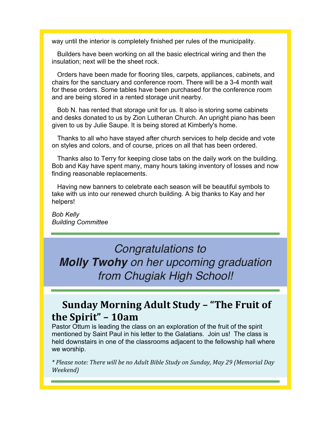way until the interior is completely finished per rules of the municipality.

Builders have been working on all the basic electrical wiring and then the insulation; next will be the sheet rock.

Orders have been made for flooring tiles, carpets, appliances, cabinets, and chairs for the sanctuary and conference room. There will be a 3-4 month wait for these orders. Some tables have been purchased for the conference room and are being stored in a rented storage unit nearby.

Bob N. has rented that storage unit for us. It also is storing some cabinets and desks donated to us by Zion Lutheran Church. An upright piano has been given to us by Julie Saupe. It is being stored at Kimberly's home.

Thanks to all who have stayed after church services to help decide and vote on styles and colors, and of course, prices on all that has been ordered.

Thanks also to Terry for keeping close tabs on the daily work on the building. Bob and Kay have spent many, many hours taking inventory of losses and now finding reasonable replacements.

Having new banners to celebrate each season will be beautiful symbols to take with us into our renewed church building. A big thanks to Kay and her helpers!

*Bob Kelly Building Committee*

# *Congratulations to*

*Molly Twohy on her upcoming graduation from Chugiak High School!*

# **Sunday Morning Adult Study - "The Fruit of the Spirit" – 10am**

Pastor Ottum is leading the class on an exploration of the fruit of the spirit mentioned by Saint Paul in his letter to the Galatians. Join us! The class is held downstairs in one of the classrooms adjacent to the fellowship hall where we worship.

*\* Please note: There will be no Adult Bible Study on Sunday, May 29 (Memorial Day Weekend)*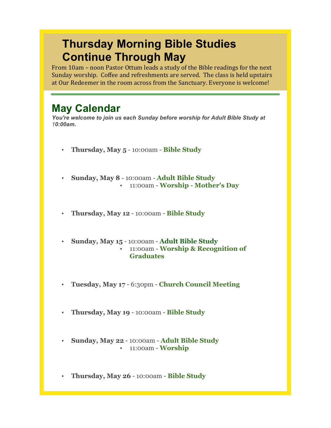# **Thursday Morning Bible Studies Continue Through May**

From 10am – noon Pastor Ottum leads a study of the Bible readings for the next Sunday worship. Coffee and refreshments are served. The class is held upstairs at Our Redeemer in the room across from the Sanctuary. Everyone is welcome!

# **May Calendar**

*You're welcome to join us each Sunday before worship for Adult Bible Study at 10:00am.*

- **Thursday, May 5** 10:00am **Bible Study**
- **Sunday, May 8** 10:00am **Adult Bible Study** • 11:00am - **Worship - Mother's Day**
- **Thursday, May 12** 10:00am **Bible Study**
- **Sunday, May 15** 10:00am **Adult Bible Study** • 11:00am - **Worship & Recognition of Graduates**
- **Tuesday, May 17** 6:30pm **Church Council Meeting**
- **Thursday, May 19** 10:00am **Bible Study**
- **Sunday, May 22** 10:00am **Adult Bible Study** • 11:00am - **Worship**
- **Thursday, May 26** 10:00am **Bible Study**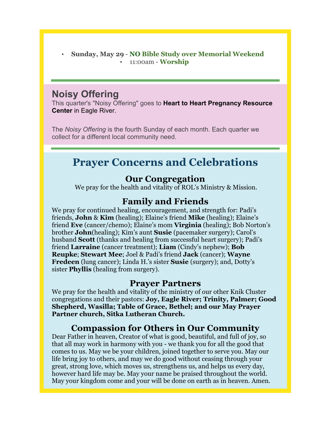• **Sunday, May 29** - **NO Bible Study over Memorial Weekend** • 11:00am - **Worship**

### **Noisy Offering**

This quarter's "Noisy Offering" goes to **Heart to Heart Pregnancy Resource Center** in Eagle River.

The *Noisy Offering* is the fourth Sunday of each month. Each quarter we collect for a different local community need.

# **Prayer Concerns and Celebrations**

#### **Our Congregation**

We pray for the health and vitality of ROL's Ministry & Mission.

#### **Family and Friends**

We pray for continued healing, encouragement, and strength for: Padi's friends, **John** & **Kim** (healing); Elaine's friend **Mike** (healing); Elaine's friend **Eve** (cancer/chemo); Elaine's mom **Virginia** (healing); Bob Norton's brother **John**(healing); Kim's aunt **Susie** (pacemaker surgery); Carol's husband **Scott** (thanks and healing from successful heart surgery); Padi's friend **Larraine** (cancer treatment); **Liam** (Cindy's nephew); **Bob Reupke**; **Stewart Mee**; Joel & Padi's friend **Jack** (cancer); **Wayne Fredeen** (lung cancer); Linda H.'s sister **Susie** (surgery); and, Dotty's sister **Phyllis** (healing from surgery).

#### **Prayer Partners**

We pray for the health and vitality of the ministry of our other Knik Cluster congregations and their pastors: **Joy, Eagle River; Trinity, Palmer; Good Shepherd, Wasilla; Table of Grace, Bethel; and our May Prayer Partner church, Sitka Lutheran Church.**

#### **Compassion for Others in Our Community**

Dear Father in heaven, Creator of what is good, beautiful, and full of joy, so that all may work in harmony with you - we thank you for all the good that comes to us. May we be your children, joined together to serve you. May our life bring joy to others, and may we do good without ceasing through your great, strong love, which moves us, strengthens us, and helps us every day, however hard life may be. May your name be praised throughout the world. May your kingdom come and your will be done on earth as in heaven. Amen.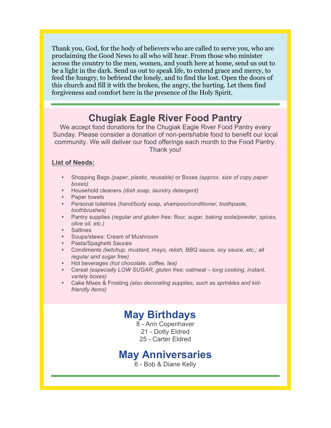Thank you, God, for the body of believers who are called to serve you, who are proclaiming the Good News to all who will hear. From those who minister across the country to the men, women, and youth here at home, send us out to be a light in the dark. Send us out to speak life, to extend grace and mercy, to feed the hungry, to befriend the lonely, and to find the lost. Open the doors of this church and fill it with the broken, the angry, the hurting. Let them find forgiveness and comfort here in the presence of the Holy Spirit.

## **Chugiak Eagle River Food Pantry**

We accept food donations for the Chugiak Eagle River Food Pantry every Sunday. Please consider a donation of non-perishable food to benefit our local community. We will deliver our food offerings each month to the Food Pantry. Thank you!

#### **List of Needs:**

- Shopping Bags *(paper, plastic, reusable)* or Boxes *(approx. size of copy paper boxes)*
- Household cleaners *(dish soap, laundry detergent)*
- Paper towels
- Personal toiletries *(hand/body soap, shampoo/conditioner, toothpaste, toothbrushes)*
- Pantry supplies *(regular and gluten free: flour, sugar, baking soda/powder, spices, olive oil, etc.)*
- Saltines
- Soups/stews: Cream of Mushroom
- Pasta/Spaghetti Sauces
- Condiments *(ketchup, mustard, mayo, relish, BBQ sauce, soy sauce, etc.; all regular and sugar free)*
- Hot beverages *(hot chocolate, coffee, tea)*
- Cereal *(especially LOW SUGAR, gluten free; oatmeal – long cooking, instant, variety boxes)*
- Cake Mixes & Frosting *(also decorating supplies, such as sprinkles and kidfriendly items)*

# **May Birthdays**

8 - Ann Copenhaver 21 - Dotty Eldred 25 - Carter Eldred

## **May Anniversaries**

6 - Bob & Diane Kelly